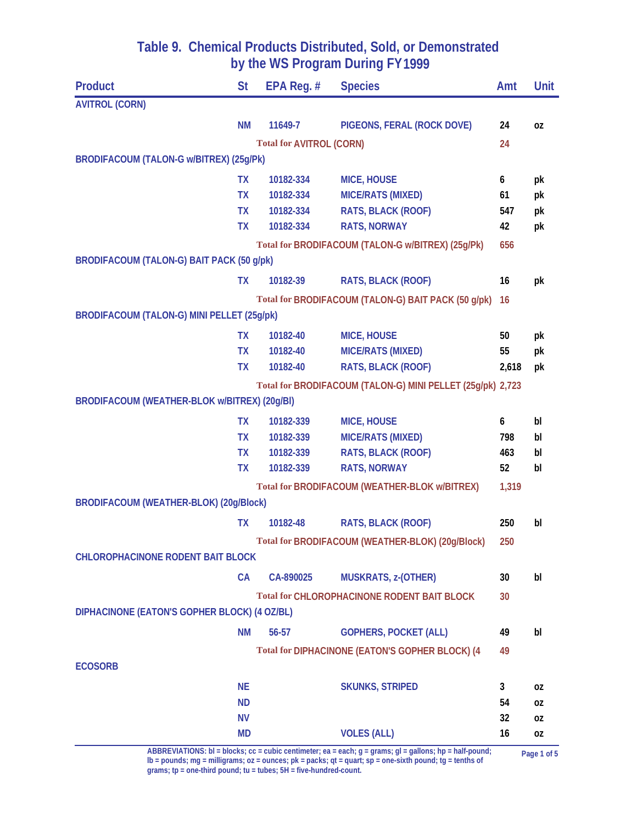| <b>Product</b>                                    | <b>St</b>              | EPA Reg. $#$                    | <b>Species</b>                                             | Amt       | <b>Unit</b> |
|---------------------------------------------------|------------------------|---------------------------------|------------------------------------------------------------|-----------|-------------|
| <b>AVITROL (CORN)</b>                             |                        |                                 |                                                            |           |             |
|                                                   | <b>NM</b>              | 11649-7                         | PIGEONS, FERAL (ROCK DOVE)                                 | 24        | 0Z          |
|                                                   |                        | <b>Total for AVITROL (CORN)</b> |                                                            | 24        |             |
| BRODIFACOUM (TALON-G w/BITREX) (25g/Pk)           |                        |                                 |                                                            |           |             |
|                                                   | <b>TX</b>              | 10182-334                       | <b>MICE, HOUSE</b>                                         | 6         | pk          |
|                                                   | <b>TX</b>              | 10182-334                       | <b>MICE/RATS (MIXED)</b>                                   | 61        | pk          |
|                                                   | <b>TX</b>              | 10182-334                       | RATS, BLACK (ROOF)                                         | 547       | pk          |
|                                                   | <b>TX</b>              | 10182-334                       | <b>RATS, NORWAY</b>                                        | 42        | pk          |
|                                                   |                        |                                 | Total for BRODIFACOUM (TALON-G w/BITREX) (25g/Pk)          | 656       |             |
| BRODIFACOUM (TALON-G) BAIT PACK (50 g/pk)         |                        |                                 |                                                            |           |             |
|                                                   | <b>TX</b>              | 10182-39                        | <b>RATS, BLACK (ROOF)</b>                                  | 16        | pk          |
|                                                   |                        |                                 | Total for BRODIFACOUM (TALON-G) BAIT PACK (50 g/pk)        | <b>16</b> |             |
| <b>BRODIFACOUM (TALON-G) MINI PELLET (25g/pk)</b> |                        |                                 |                                                            |           |             |
|                                                   | <b>TX</b>              | 10182-40                        | <b>MICE, HOUSE</b>                                         | 50        | pk          |
|                                                   | <b>TX</b>              | 10182-40                        | <b>MICE/RATS (MIXED)</b>                                   | 55        | pk          |
|                                                   | <b>TX</b>              | 10182-40                        | RATS, BLACK (ROOF)                                         | 2,618     | pk          |
|                                                   |                        |                                 | Total for BRODIFACOUM (TALON-G) MINI PELLET (25g/pk) 2,723 |           |             |
| BRODIFACOUM (WEATHER-BLOK w/BITREX) (20g/BI)      |                        |                                 |                                                            |           |             |
|                                                   | <b>TX</b>              | 10182-339                       | <b>MICE, HOUSE</b>                                         | 6         | bl          |
|                                                   | <b>TX</b>              | 10182-339                       | <b>MICE/RATS (MIXED)</b>                                   | 798       | bl          |
|                                                   | <b>TX</b>              | 10182-339                       | RATS, BLACK (ROOF)                                         | 463       | bl          |
|                                                   | <b>TX</b>              | 10182-339                       | <b>RATS, NORWAY</b>                                        | 52        | bl          |
|                                                   |                        |                                 | <b>Total for BRODIFACOUM (WEATHER-BLOK w/BITREX)</b>       | 1,319     |             |
| <b>BRODIFACOUM (WEATHER-BLOK) (20g/Block)</b>     |                        |                                 |                                                            |           |             |
|                                                   | <b>TX</b>              | 10182-48                        | <b>RATS, BLACK (ROOF)</b>                                  | 250       | bl          |
|                                                   |                        |                                 | Total for BRODIFACOUM (WEATHER-BLOK) (20g/Block)           | 250       |             |
| <b>CHLOROPHACINONE RODENT BAIT BLOCK</b>          |                        |                                 |                                                            |           |             |
|                                                   | CA                     | CA-890025                       | <b>MUSKRATS, z-(OTHER)</b>                                 | 30        | bl          |
|                                                   |                        |                                 | <b>Total for CHLOROPHACINONE RODENT BAIT BLOCK</b>         | 30        |             |
| DIPHACINONE (EATON'S GOPHER BLOCK) (4 OZ/BL)      |                        |                                 |                                                            |           |             |
|                                                   | <b>NM</b>              | 56-57                           | <b>GOPHERS, POCKET (ALL)</b>                               | 49        | bl          |
|                                                   |                        |                                 |                                                            |           |             |
| <b>ECOSORB</b>                                    |                        |                                 | Total for DIPHACINONE (EATON'S GOPHER BLOCK) (4            | 49        |             |
|                                                   |                        |                                 |                                                            |           |             |
|                                                   | <b>NE</b>              |                                 | <b>SKUNKS, STRIPED</b>                                     | 3         | 0Z          |
|                                                   | <b>ND</b>              |                                 |                                                            | 54        | 0Z          |
|                                                   | <b>NV</b><br><b>MD</b> |                                 | <b>VOLES (ALL)</b>                                         | 32<br>16  | 0Z          |
|                                                   |                        |                                 |                                                            |           | 0Z          |

ABBREVIATIONS: bl = blocks; cc = cubic centimeter; ea = each; g = grams; gl = gallons; hp = half-pound; page 1 of 5<br>lb = pounds; mg = milligrams; oz = ounces; pk = packs; qt = quart; sp = one-sixth pound; tg = tenths of **grams; tp = one-third pound; tu = tubes; 5H = five-hundred-count.**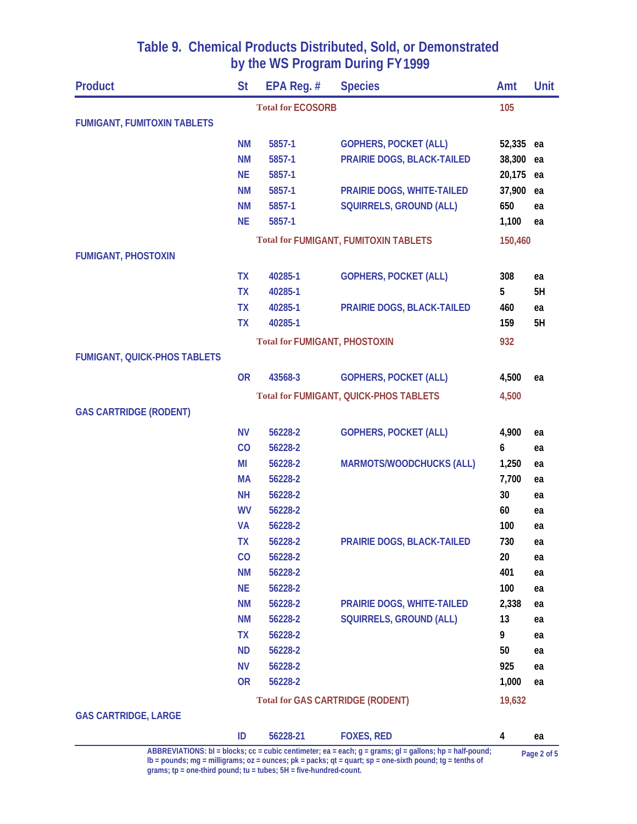| <b>Product</b>                      | <b>St</b> | EPA Reg. #                           | <b>Species</b>                                                                                                                                                                                                                | Amt     | Unit        |
|-------------------------------------|-----------|--------------------------------------|-------------------------------------------------------------------------------------------------------------------------------------------------------------------------------------------------------------------------------|---------|-------------|
|                                     |           | <b>Total for ECOSORB</b>             |                                                                                                                                                                                                                               | 105     |             |
| <b>FUMIGANT, FUMITOXIN TABLETS</b>  |           |                                      |                                                                                                                                                                                                                               |         |             |
|                                     | ΝM        | 5857-1                               | <b>GOPHERS, POCKET (ALL)</b>                                                                                                                                                                                                  | 52,335  | ea          |
|                                     | <b>NM</b> | 5857-1                               | PRAIRIE DOGS, BLACK-TAILED                                                                                                                                                                                                    | 38,300  | ea          |
|                                     | <b>NE</b> | 5857-1                               |                                                                                                                                                                                                                               | 20,175  | ea          |
|                                     | <b>NM</b> | 5857-1                               | PRAIRIE DOGS, WHITE-TAILED                                                                                                                                                                                                    | 37,900  | ea          |
|                                     | <b>NM</b> | 5857-1                               | <b>SQUIRRELS, GROUND (ALL)</b>                                                                                                                                                                                                | 650     | ea          |
|                                     | <b>NE</b> | 5857-1                               |                                                                                                                                                                                                                               | 1,100   | ea          |
|                                     |           |                                      | <b>Total for FUMIGANT, FUMITOXIN TABLETS</b>                                                                                                                                                                                  | 150,460 |             |
| <b>FUMIGANT, PHOSTOXIN</b>          |           |                                      |                                                                                                                                                                                                                               |         |             |
|                                     | <b>TX</b> | 40285-1                              | <b>GOPHERS, POCKET (ALL)</b>                                                                                                                                                                                                  | 308     | ea          |
|                                     | <b>TX</b> | 40285-1                              |                                                                                                                                                                                                                               | 5       | 5H          |
|                                     | <b>TX</b> | 40285-1                              | PRAIRIE DOGS, BLACK-TAILED                                                                                                                                                                                                    | 460     | ea          |
|                                     | <b>TX</b> | 40285-1                              |                                                                                                                                                                                                                               | 159     | 5H          |
|                                     |           | <b>Total for FUMIGANT, PHOSTOXIN</b> |                                                                                                                                                                                                                               | 932     |             |
| <b>FUMIGANT, QUICK-PHOS TABLETS</b> |           |                                      |                                                                                                                                                                                                                               |         |             |
|                                     | <b>OR</b> | 43568-3                              | <b>GOPHERS, POCKET (ALL)</b>                                                                                                                                                                                                  | 4,500   | ea          |
|                                     |           |                                      | <b>Total for FUMIGANT, QUICK-PHOS TABLETS</b>                                                                                                                                                                                 | 4,500   |             |
| <b>GAS CARTRIDGE (RODENT)</b>       |           |                                      |                                                                                                                                                                                                                               |         |             |
|                                     | <b>NV</b> | 56228-2                              | <b>GOPHERS, POCKET (ALL)</b>                                                                                                                                                                                                  | 4,900   | ea          |
|                                     | CO        | 56228-2                              |                                                                                                                                                                                                                               | 6       | ea          |
|                                     | MI        | 56228-2                              | <b>MARMOTS/WOODCHUCKS (ALL)</b>                                                                                                                                                                                               | 1,250   | ea          |
|                                     | <b>MA</b> | 56228-2                              |                                                                                                                                                                                                                               | 7,700   | ea          |
|                                     | <b>NH</b> | 56228-2                              |                                                                                                                                                                                                                               | 30      | ea          |
|                                     | <b>WV</b> | 56228-2                              |                                                                                                                                                                                                                               | 60      | ea          |
|                                     | <b>VA</b> | 56228-2                              |                                                                                                                                                                                                                               | 100     | ea          |
|                                     | TΧ        | 56228-2                              | <b>PRAIRIE DOGS, BLACK-TAILED</b>                                                                                                                                                                                             | 730     | ea          |
|                                     | CO        | 56228-2                              |                                                                                                                                                                                                                               | 20      | ea          |
|                                     | <b>NM</b> | 56228-2                              |                                                                                                                                                                                                                               | 401     | ea          |
|                                     | <b>NE</b> | 56228-2                              |                                                                                                                                                                                                                               | 100     | ea          |
|                                     | <b>NM</b> | 56228-2                              | <b>PRAIRIE DOGS, WHITE-TAILED</b>                                                                                                                                                                                             | 2,338   | ea          |
|                                     | <b>NM</b> | 56228-2                              | <b>SQUIRRELS, GROUND (ALL)</b>                                                                                                                                                                                                | 13      | ea          |
|                                     | <b>TX</b> | 56228-2                              |                                                                                                                                                                                                                               | 9       | ea          |
|                                     | <b>ND</b> | 56228-2                              |                                                                                                                                                                                                                               | 50      | ea          |
|                                     | <b>NV</b> | 56228-2                              |                                                                                                                                                                                                                               | 925     | ea          |
|                                     | <b>OR</b> | 56228-2                              |                                                                                                                                                                                                                               | 1,000   | ea          |
|                                     |           |                                      | <b>Total for GAS CARTRIDGE (RODENT)</b>                                                                                                                                                                                       | 19,632  |             |
| <b>GAS CARTRIDGE, LARGE</b>         |           |                                      |                                                                                                                                                                                                                               |         |             |
|                                     | ID        | 56228-21                             | <b>FOXES, RED</b>                                                                                                                                                                                                             | 4       | ea          |
|                                     |           |                                      | ABBREVIATIONS: bl = blocks; cc = cubic centimeter; ea = each; g = grams; gl = gallons; hp = half-pound;<br>$\mathsf{lb}$ = pounds; mg = milligrams; oz = ounces; pk = packs; gt = quart; sp = one-sixth pound; tg = tenths of |         | Page 2 of 5 |

**grams; tp = one-third pound; tu = tubes; 5H = five-hundred-count.**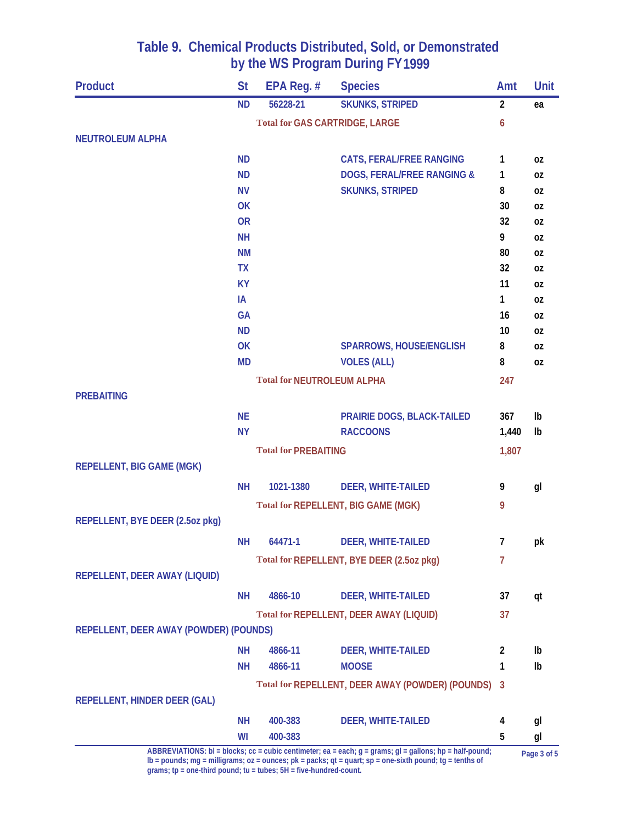| <b>Product</b>                         | <b>St</b> | EPA Reg. #                        | <b>Species</b>                                                                                              | Amt            | Unit        |
|----------------------------------------|-----------|-----------------------------------|-------------------------------------------------------------------------------------------------------------|----------------|-------------|
|                                        | <b>ND</b> | 56228-21                          | <b>SKUNKS, STRIPED</b>                                                                                      | $\overline{2}$ | ea          |
|                                        |           |                                   | <b>Total for GAS CARTRIDGE, LARGE</b>                                                                       | 6              |             |
| <b>NEUTROLEUM ALPHA</b>                |           |                                   |                                                                                                             |                |             |
|                                        | <b>ND</b> |                                   | <b>CATS, FERAL/FREE RANGING</b>                                                                             | 1              | 0Z          |
|                                        | <b>ND</b> |                                   | <b>DOGS, FERAL/FREE RANGING &amp;</b>                                                                       | 1              | 0Z          |
|                                        | <b>NV</b> |                                   | <b>SKUNKS, STRIPED</b>                                                                                      | 8              | 0Z          |
|                                        | OK        |                                   |                                                                                                             | 30             | 0Z          |
|                                        | <b>OR</b> |                                   |                                                                                                             | 32             | 0Z          |
|                                        | <b>NH</b> |                                   |                                                                                                             | 9              | 0Z          |
|                                        | <b>NM</b> |                                   |                                                                                                             | 80             | 0Z          |
|                                        | <b>TX</b> |                                   |                                                                                                             | 32             | 0Z          |
|                                        | <b>KY</b> |                                   |                                                                                                             | 11             | 0Z          |
|                                        | IA        |                                   |                                                                                                             | 1              | 0Z          |
|                                        | <b>GA</b> |                                   |                                                                                                             | 16             | 0Z          |
|                                        | <b>ND</b> |                                   |                                                                                                             | 10             | 0Z          |
|                                        | OK        |                                   | <b>SPARROWS, HOUSE/ENGLISH</b>                                                                              | 8              | 0Z          |
|                                        | <b>MD</b> |                                   | <b>VOLES (ALL)</b>                                                                                          | 8              | 0Z          |
|                                        |           | <b>Total for NEUTROLEUM ALPHA</b> |                                                                                                             | 247            |             |
| <b>PREBAITING</b>                      |           |                                   |                                                                                                             |                |             |
|                                        | <b>NE</b> |                                   | PRAIRIE DOGS, BLACK-TAILED                                                                                  | 367            | Ib          |
|                                        | <b>NY</b> |                                   | <b>RACCOONS</b>                                                                                             | 1,440          | Ib          |
|                                        |           | <b>Total for PREBAITING</b>       |                                                                                                             | 1,807          |             |
| <b>REPELLENT, BIG GAME (MGK)</b>       |           |                                   |                                                                                                             |                |             |
|                                        | <b>NH</b> | 1021-1380                         | <b>DEER, WHITE-TAILED</b>                                                                                   | 9              | gl          |
|                                        |           |                                   | <b>Total for REPELLENT, BIG GAME (MGK)</b>                                                                  | 9              |             |
| REPELLENT, BYE DEER (2.5oz pkg)        |           |                                   |                                                                                                             |                |             |
|                                        | <b>NH</b> | 64471-1                           | <b>DEER, WHITE-TAILED</b>                                                                                   | 7              | рk          |
|                                        |           |                                   | Total for REPELLENT, BYE DEER (2.5oz pkg)                                                                   | 7              |             |
| REPELLENT, DEER AWAY (LIQUID)          |           |                                   |                                                                                                             |                |             |
|                                        |           |                                   |                                                                                                             |                |             |
|                                        | <b>NH</b> | 4866-10                           | <b>DEER, WHITE-TAILED</b>                                                                                   | 37             | qt          |
|                                        |           |                                   | <b>Total for REPELLENT, DEER AWAY (LIQUID)</b>                                                              | 37             |             |
| REPELLENT, DEER AWAY (POWDER) (POUNDS) |           |                                   |                                                                                                             |                |             |
|                                        | <b>NH</b> | 4866-11                           | <b>DEER, WHITE-TAILED</b>                                                                                   | 2              | Ib          |
|                                        | <b>NH</b> | 4866-11                           | <b>MOOSE</b>                                                                                                | 1              | Ib          |
|                                        |           |                                   | Total for REPELLENT, DEER AWAY (POWDER) (POUNDS)                                                            | -3             |             |
| REPELLENT, HINDER DEER (GAL)           |           |                                   |                                                                                                             |                |             |
|                                        | <b>NH</b> | 400-383                           | <b>DEER, WHITE-TAILED</b>                                                                                   | 4              | gl          |
|                                        | WI        | 400-383                           |                                                                                                             | 5              | gl          |
|                                        |           |                                   | ABBREVIATIONS: bl = blocks; cc = cubic centimeter; ea = each; $g$ = grams; $gl =$ gallons; hp = half-pound; |                | Dage 2 of 5 |

ABBREVIATIONS: bl = blocks; cc = cubic centimeter; ea = each; g = grams; gl = gallons; hp = half-pound; page 3 of 5<br>lb = pounds; mg = milligrams; oz = ounces; pk = packs; qt = quart; sp = one-sixth pound; tg = tenths of **grams; tp = one-third pound; tu = tubes; 5H = five-hundred-count.**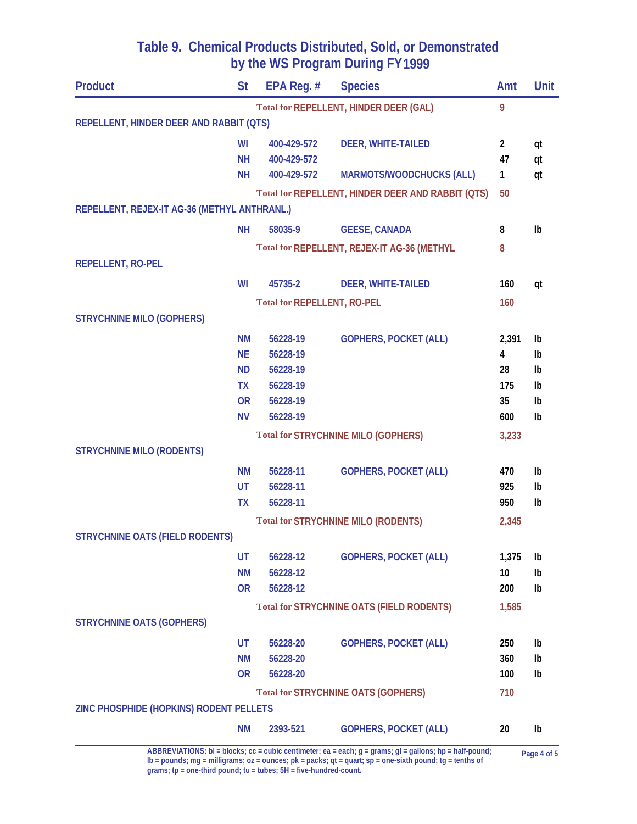| <b>Product</b>                               | <b>St</b> | EPA Reg. #                         | <b>Species</b>                                    | Amt            | <b>Unit</b>    |
|----------------------------------------------|-----------|------------------------------------|---------------------------------------------------|----------------|----------------|
|                                              |           |                                    | <b>Total for REPELLENT, HINDER DEER (GAL)</b>     | 9              |                |
| REPELLENT, HINDER DEER AND RABBIT (QTS)      |           |                                    |                                                   |                |                |
|                                              | WI        | 400-429-572                        | <b>DEER, WHITE-TAILED</b>                         | $\overline{2}$ | qt             |
|                                              | <b>NH</b> | 400-429-572                        |                                                   | 47             | qt             |
|                                              | <b>NH</b> | 400-429-572                        | <b>MARMOTS/WOODCHUCKS (ALL)</b>                   | 1              | qt             |
|                                              |           |                                    | Total for REPELLENT, HINDER DEER AND RABBIT (QTS) | 50             |                |
| REPELLENT, REJEX-IT AG-36 (METHYL ANTHRANL.) |           |                                    |                                                   |                |                |
|                                              | <b>NH</b> | 58035-9                            | <b>GEESE, CANADA</b>                              | 8              | I <sub>b</sub> |
|                                              |           |                                    | Total for REPELLENT, REJEX-IT AG-36 (METHYL       | 8              |                |
| <b>REPELLENT, RO-PEL</b>                     |           |                                    |                                                   |                |                |
|                                              | WI        | 45735-2                            | <b>DEER, WHITE-TAILED</b>                         | 160            | qt             |
|                                              |           | <b>Total for REPELLENT, RO-PEL</b> |                                                   | 160            |                |
| <b>STRYCHNINE MILO (GOPHERS)</b>             |           |                                    |                                                   |                |                |
|                                              | <b>NM</b> | 56228-19                           | <b>GOPHERS, POCKET (ALL)</b>                      | 2,391          | Ib             |
|                                              | <b>NE</b> | 56228-19                           |                                                   | 4              | Ib             |
|                                              | <b>ND</b> | 56228-19                           |                                                   | 28             | Ib             |
|                                              | <b>TX</b> | 56228-19                           |                                                   | 175            | Ib             |
|                                              | <b>OR</b> | 56228-19                           |                                                   | 35             | Ib             |
|                                              | <b>NV</b> | 56228-19                           |                                                   | 600            | I <sub>b</sub> |
|                                              |           |                                    | <b>Total for STRYCHNINE MILO (GOPHERS)</b>        | 3,233          |                |
| <b>STRYCHNINE MILO (RODENTS)</b>             |           |                                    |                                                   |                |                |
|                                              | <b>NM</b> | 56228-11                           | <b>GOPHERS, POCKET (ALL)</b>                      | 470            | Ib             |
|                                              | <b>UT</b> | 56228-11                           |                                                   | 925            | Ib             |
|                                              | <b>TX</b> | 56228-11                           |                                                   | 950            | Ib             |
|                                              |           |                                    | <b>Total for STRYCHNINE MILO (RODENTS)</b>        | 2,345          |                |
| <b>STRYCHNINE OATS (FIELD RODENTS)</b>       |           |                                    |                                                   |                |                |
|                                              | UT        | 56228-12                           | <b>GOPHERS, POCKET (ALL)</b>                      | 1,375          | Ib             |
|                                              | <b>NM</b> | 56228-12                           |                                                   | 10             | Ib             |
|                                              | <b>OR</b> | 56228-12                           |                                                   | 200            | Ib             |
|                                              |           |                                    | <b>Total for STRYCHNINE OATS (FIELD RODENTS)</b>  | 1,585          |                |
| <b>STRYCHNINE OATS (GOPHERS)</b>             |           |                                    |                                                   |                |                |
|                                              | UT        | 56228-20                           | <b>GOPHERS, POCKET (ALL)</b>                      | 250            | Ib             |
|                                              | <b>NM</b> | 56228-20                           |                                                   | 360            | Ib             |
|                                              | <b>OR</b> | 56228-20                           |                                                   | 100            | Ib             |
|                                              |           |                                    | <b>Total for STRYCHNINE OATS (GOPHERS)</b>        | 710            |                |
| ZINC PHOSPHIDE (HOPKINS) RODENT PELLETS      |           |                                    |                                                   |                |                |
|                                              | <b>NM</b> | 2393-521                           | <b>GOPHERS, POCKET (ALL)</b>                      | 20             | Ib             |
|                                              |           |                                    |                                                   |                |                |

ABBREVIATIONS: bl = blocks; cc = cubic centimeter; ea = each; g = grams; gl = gallons; hp = half-pound; page 4 of 5<br>lb = pounds; mg = milligrams; oz = ounces; pk = packs; qt = quart; sp = one-sixth pound; tg = tenths of **grams; tp = one-third pound; tu = tubes; 5H = five-hundred-count.**